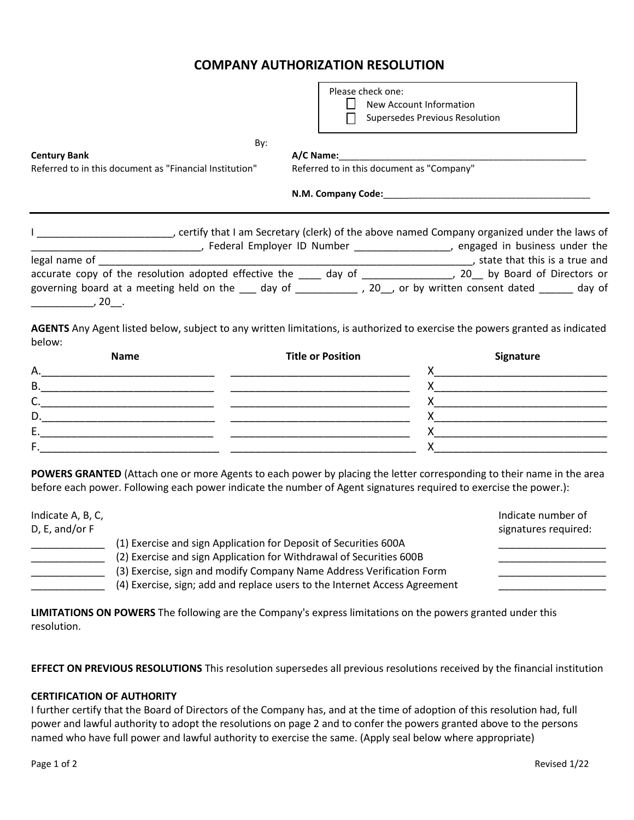## **COMPANY AUTHORIZATION RESOLUTION**

|                                                                                                                                                                                                                                | Please check one:                         |                                                                                                                                                                                                                                                                                                                                                                                                           |  |  |
|--------------------------------------------------------------------------------------------------------------------------------------------------------------------------------------------------------------------------------|-------------------------------------------|-----------------------------------------------------------------------------------------------------------------------------------------------------------------------------------------------------------------------------------------------------------------------------------------------------------------------------------------------------------------------------------------------------------|--|--|
|                                                                                                                                                                                                                                |                                           | New Account Information<br>Supersedes Previous Resolution                                                                                                                                                                                                                                                                                                                                                 |  |  |
|                                                                                                                                                                                                                                |                                           |                                                                                                                                                                                                                                                                                                                                                                                                           |  |  |
| By:                                                                                                                                                                                                                            |                                           |                                                                                                                                                                                                                                                                                                                                                                                                           |  |  |
| <b>Century Bank</b><br>Referred to in this document as "Financial Institution"                                                                                                                                                 | Referred to in this document as "Company" |                                                                                                                                                                                                                                                                                                                                                                                                           |  |  |
|                                                                                                                                                                                                                                |                                           |                                                                                                                                                                                                                                                                                                                                                                                                           |  |  |
| I _____________________________, certify that I am Secretary (clerk) of the above named Company organized under the laws of                                                                                                    |                                           |                                                                                                                                                                                                                                                                                                                                                                                                           |  |  |
| [16] The Mumber Communication (16) Summun and the summun of the summun of the summun and the summun and the summun and the summun and the summun and the summun and the summun and the summun and the summun and the summun an |                                           |                                                                                                                                                                                                                                                                                                                                                                                                           |  |  |
|                                                                                                                                                                                                                                |                                           |                                                                                                                                                                                                                                                                                                                                                                                                           |  |  |
| governing board at a meeting held on the ___ day of ___________ , 20__, or by written consent dated ______ day of                                                                                                              |                                           |                                                                                                                                                                                                                                                                                                                                                                                                           |  |  |
| $\overline{\phantom{a}}$ , 20 $\overline{\phantom{a}}$ .                                                                                                                                                                       |                                           |                                                                                                                                                                                                                                                                                                                                                                                                           |  |  |
| AGENTS Any Agent listed below, subject to any written limitations, is authorized to exercise the powers granted as indicated                                                                                                   |                                           |                                                                                                                                                                                                                                                                                                                                                                                                           |  |  |
| below:<br><b>Name</b>                                                                                                                                                                                                          | <b>Title or Position</b>                  |                                                                                                                                                                                                                                                                                                                                                                                                           |  |  |
| А.                                                                                                                                                                                                                             |                                           | <b>Signature</b>                                                                                                                                                                                                                                                                                                                                                                                          |  |  |
| В.                                                                                                                                                                                                                             |                                           | $\mathsf{X}$ and $\overline{\phantom{a}}$ and $\overline{\phantom{a}}$ and $\overline{\phantom{a}}$ and $\overline{\phantom{a}}$ and $\overline{\phantom{a}}$ and $\overline{\phantom{a}}$ and $\overline{\phantom{a}}$ and $\overline{\phantom{a}}$ and $\overline{\phantom{a}}$ and $\overline{\phantom{a}}$ and $\overline{\phantom{a}}$ and $\overline{\phantom{a}}$ and $\overline{\phantom{a}}$ and |  |  |
| C.                                                                                                                                                                                                                             |                                           |                                                                                                                                                                                                                                                                                                                                                                                                           |  |  |
|                                                                                                                                                                                                                                |                                           |                                                                                                                                                                                                                                                                                                                                                                                                           |  |  |

| POWERS GRANTED (Attach one or more Agents to each power by placing the letter corresponding to their name in the area |
|-----------------------------------------------------------------------------------------------------------------------|

before each power. Following each power indicate the number of Agent signatures required to exercise the power.):

D.\_\_\_\_\_\_\_\_\_\_\_\_\_\_\_\_\_\_\_\_\_\_\_\_\_\_\_\_ \_\_\_\_\_\_\_\_\_\_\_\_\_\_\_\_\_\_\_\_\_\_\_\_\_\_\_\_\_ X\_\_\_\_\_\_\_\_\_\_\_\_\_\_\_\_\_\_\_\_\_\_\_\_\_\_\_\_ E.\_\_\_\_\_\_\_\_\_\_\_\_\_\_\_\_\_\_\_\_\_\_\_\_\_\_\_\_ \_\_\_\_\_\_\_\_\_\_\_\_\_\_\_\_\_\_\_\_\_\_\_\_\_\_\_\_\_ X\_\_\_\_\_\_\_\_\_\_\_\_\_\_\_\_\_\_\_\_\_\_\_\_\_\_\_\_

| Indicate A, B, C,<br>D, E, and/or F |                                                                                                                                                                                                                                                                                               | Indicate number of<br>signatures required: |
|-------------------------------------|-----------------------------------------------------------------------------------------------------------------------------------------------------------------------------------------------------------------------------------------------------------------------------------------------|--------------------------------------------|
|                                     | (1) Exercise and sign Application for Deposit of Securities 600A<br>(2) Exercise and sign Application for Withdrawal of Securities 600B<br>(3) Exercise, sign and modify Company Name Address Verification Form<br>(4) Exercise, sign; add and replace users to the Internet Access Agreement |                                            |

**LIMITATIONS ON POWERS** The following are the Company's express limitations on the powers granted under this resolution.

**EFFECT ON PREVIOUS RESOLUTIONS** This resolution supersedes all previous resolutions received by the financial institution

## **CERTIFICATION OF AUTHORITY**

I further certify that the Board of Directors of the Company has, and at the time of adoption of this resolution had, full power and lawful authority to adopt the resolutions on page 2 and to confer the powers granted above to the persons named who have full power and lawful authority to exercise the same. (Apply seal below where appropriate)